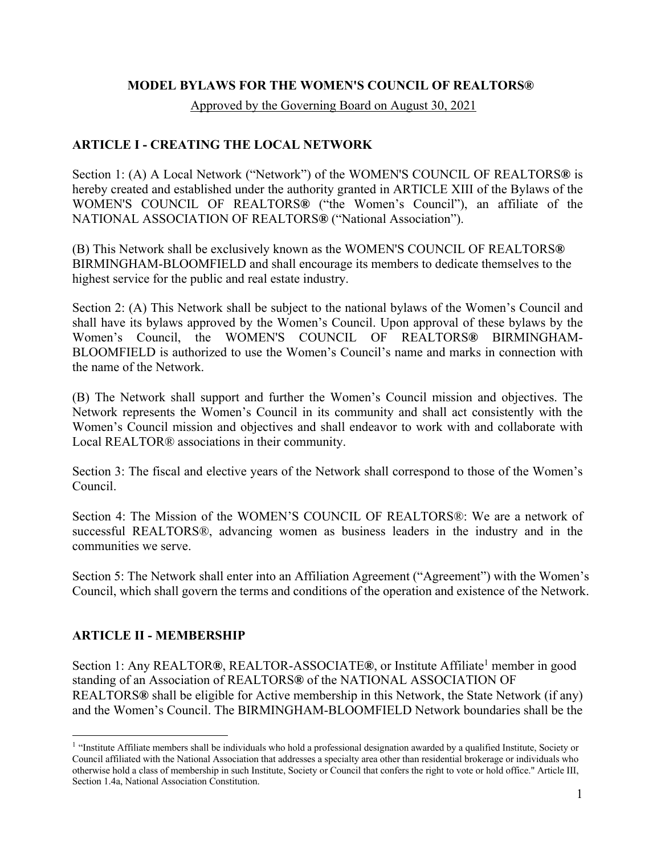#### **MODEL BYLAWS FOR THE WOMEN'S COUNCIL OF REALTORS®**

Approved by the Governing Board on August 30, 2021

### **ARTICLE I - CREATING THE LOCAL NETWORK**

Section 1: (A) A Local Network ("Network") of the WOMEN'S COUNCIL OF REALTORS**®** is hereby created and established under the authority granted in ARTICLE XIII of the Bylaws of the WOMEN'S COUNCIL OF REALTORS**®** ("the Women's Council"), an affiliate of the NATIONAL ASSOCIATION OF REALTORS**®** ("National Association").

(B) This Network shall be exclusively known as the WOMEN'S COUNCIL OF REALTORS**®** BIRMINGHAM-BLOOMFIELD and shall encourage its members to dedicate themselves to the highest service for the public and real estate industry.

Section 2: (A) This Network shall be subject to the national bylaws of the Women's Council and shall have its bylaws approved by the Women's Council. Upon approval of these bylaws by the Women's Council, the WOMEN'S COUNCIL OF REALTORS**®** BIRMINGHAM-BLOOMFIELD is authorized to use the Women's Council's name and marks in connection with the name of the Network.

(B) The Network shall support and further the Women's Council mission and objectives. The Network represents the Women's Council in its community and shall act consistently with the Women's Council mission and objectives and shall endeavor to work with and collaborate with Local REALTOR® associations in their community.

Section 3: The fiscal and elective years of the Network shall correspond to those of the Women's Council.

Section 4: The Mission of the WOMEN'S COUNCIL OF REALTORS®: We are a network of successful REALTORS®, advancing women as business leaders in the industry and in the communities we serve.

Section 5: The Network shall enter into an Affiliation Agreement ("Agreement") with the Women's Council, which shall govern the terms and conditions of the operation and existence of the Network.

### **ARTICLE II - MEMBERSHIP**

Section 1: Any REALTOR®, REALTOR-ASSOCIATE®, or Institute Affiliate<sup>1</sup> member in good standing of an Association of REALTORS**®** of the NATIONAL ASSOCIATION OF REALTORS**®** shall be eligible for Active membership in this Network, the State Network (if any) and the Women's Council. The BIRMINGHAM-BLOOMFIELD Network boundaries shall be the

<sup>&</sup>lt;sup>1</sup> "Institute Affiliate members shall be individuals who hold a professional designation awarded by a qualified Institute, Society or Council affiliated with the National Association that addresses a specialty area other than residential brokerage or individuals who otherwise hold a class of membership in such Institute, Society or Council that confers the right to vote or hold office." Article III, Section 1.4a, National Association Constitution.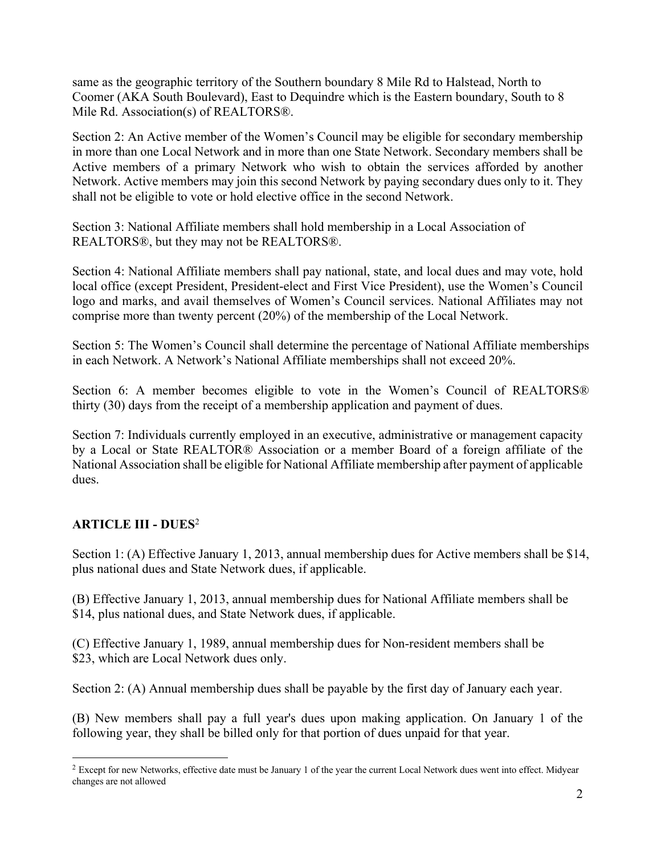same as the geographic territory of the Southern boundary 8 Mile Rd to Halstead, North to Coomer (AKA South Boulevard), East to Dequindre which is the Eastern boundary, South to 8 Mile Rd. Association(s) of REALTORS®.

Section 2: An Active member of the Women's Council may be eligible for secondary membership in more than one Local Network and in more than one State Network. Secondary members shall be Active members of a primary Network who wish to obtain the services afforded by another Network. Active members may join this second Network by paying secondary dues only to it. They shall not be eligible to vote or hold elective office in the second Network.

Section 3: National Affiliate members shall hold membership in a Local Association of REALTORS®, but they may not be REALTORS®.

Section 4: National Affiliate members shall pay national, state, and local dues and may vote, hold local office (except President, President-elect and First Vice President), use the Women's Council logo and marks, and avail themselves of Women's Council services. National Affiliates may not comprise more than twenty percent (20%) of the membership of the Local Network.

Section 5: The Women's Council shall determine the percentage of National Affiliate memberships in each Network. A Network's National Affiliate memberships shall not exceed 20%.

Section 6: A member becomes eligible to vote in the Women's Council of REALTORS® thirty (30) days from the receipt of a membership application and payment of dues.

Section 7: Individuals currently employed in an executive, administrative or management capacity by a Local or State REALTOR® Association or a member Board of a foreign affiliate of the National Association shall be eligible for National Affiliate membership after payment of applicable dues.

### **ARTICLE III - DUES**<sup>2</sup>

Section 1: (A) Effective January 1, 2013, annual membership dues for Active members shall be \$14, plus national dues and State Network dues, if applicable.

(B) Effective January 1, 2013, annual membership dues for National Affiliate members shall be \$14, plus national dues, and State Network dues, if applicable.

(C) Effective January 1, 1989, annual membership dues for Non-resident members shall be \$23, which are Local Network dues only.

Section 2: (A) Annual membership dues shall be payable by the first day of January each year.

(B) New members shall pay a full year's dues upon making application. On January 1 of the following year, they shall be billed only for that portion of dues unpaid for that year.

<sup>&</sup>lt;sup>2</sup> Except for new Networks, effective date must be January 1 of the year the current Local Network dues went into effect. Midyear changes are not allowed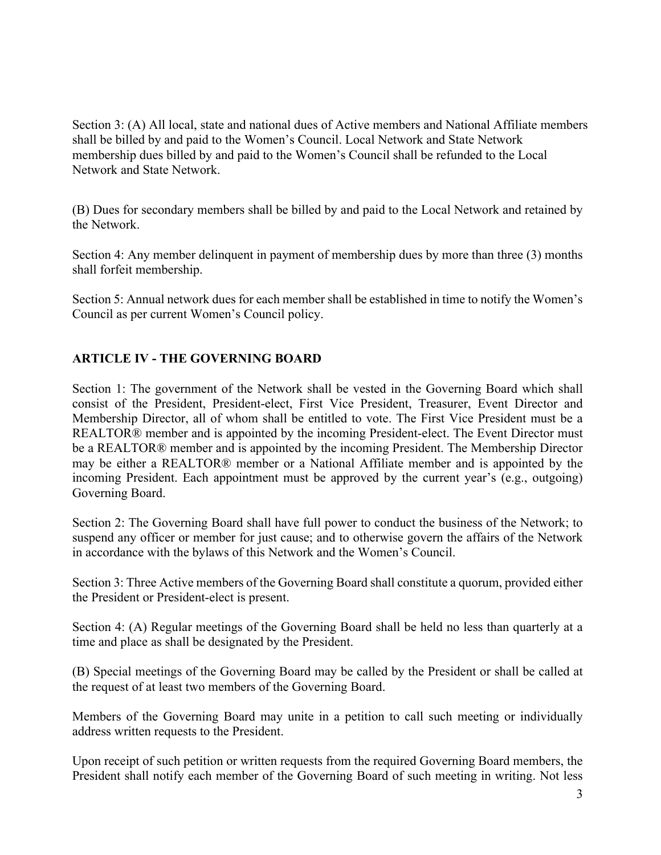Section 3: (A) All local, state and national dues of Active members and National Affiliate members shall be billed by and paid to the Women's Council. Local Network and State Network membership dues billed by and paid to the Women's Council shall be refunded to the Local Network and State Network.

(B) Dues for secondary members shall be billed by and paid to the Local Network and retained by the Network.

Section 4: Any member delinquent in payment of membership dues by more than three (3) months shall forfeit membership.

Section 5: Annual network dues for each member shall be established in time to notify the Women's Council as per current Women's Council policy.

### **ARTICLE IV - THE GOVERNING BOARD**

Section 1: The government of the Network shall be vested in the Governing Board which shall consist of the President, President-elect, First Vice President, Treasurer, Event Director and Membership Director, all of whom shall be entitled to vote. The First Vice President must be a REALTOR® member and is appointed by the incoming President-elect. The Event Director must be a REALTOR® member and is appointed by the incoming President. The Membership Director may be either a REALTOR® member or a National Affiliate member and is appointed by the incoming President. Each appointment must be approved by the current year's (e.g., outgoing) Governing Board.

Section 2: The Governing Board shall have full power to conduct the business of the Network; to suspend any officer or member for just cause; and to otherwise govern the affairs of the Network in accordance with the bylaws of this Network and the Women's Council.

Section 3: Three Active members of the Governing Board shall constitute a quorum, provided either the President or President-elect is present.

Section 4: (A) Regular meetings of the Governing Board shall be held no less than quarterly at a time and place as shall be designated by the President.

(B) Special meetings of the Governing Board may be called by the President or shall be called at the request of at least two members of the Governing Board.

Members of the Governing Board may unite in a petition to call such meeting or individually address written requests to the President.

Upon receipt of such petition or written requests from the required Governing Board members, the President shall notify each member of the Governing Board of such meeting in writing. Not less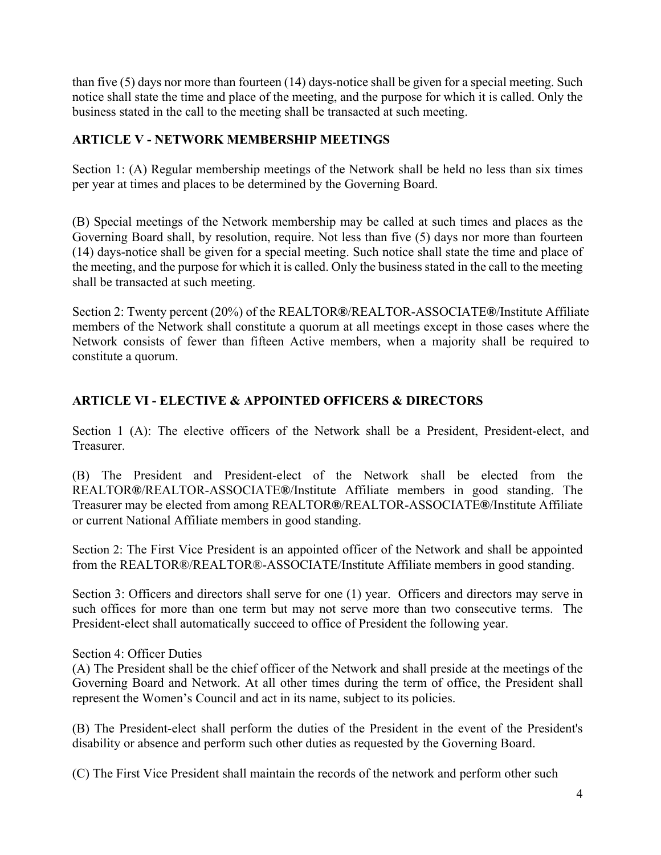than five (5) days nor more than fourteen (14) days-notice shall be given for a special meeting. Such notice shall state the time and place of the meeting, and the purpose for which it is called. Only the business stated in the call to the meeting shall be transacted at such meeting.

## **ARTICLE V - NETWORK MEMBERSHIP MEETINGS**

Section 1: (A) Regular membership meetings of the Network shall be held no less than six times per year at times and places to be determined by the Governing Board.

(B) Special meetings of the Network membership may be called at such times and places as the Governing Board shall, by resolution, require. Not less than five (5) days nor more than fourteen (14) days-notice shall be given for a special meeting. Such notice shall state the time and place of the meeting, and the purpose for which it is called. Only the business stated in the call to the meeting shall be transacted at such meeting.

Section 2: Twenty percent (20%) of the REALTOR**®**/REALTOR-ASSOCIATE**®**/Institute Affiliate members of the Network shall constitute a quorum at all meetings except in those cases where the Network consists of fewer than fifteen Active members, when a majority shall be required to constitute a quorum.

# **ARTICLE VI - ELECTIVE & APPOINTED OFFICERS & DIRECTORS**

Section 1 (A): The elective officers of the Network shall be a President, President-elect, and Treasurer.

(B) The President and President-elect of the Network shall be elected from the REALTOR**®**/REALTOR-ASSOCIATE**®**/Institute Affiliate members in good standing. The Treasurer may be elected from among REALTOR**®**/REALTOR-ASSOCIATE**®**/Institute Affiliate or current National Affiliate members in good standing.

Section 2: The First Vice President is an appointed officer of the Network and shall be appointed from the REALTOR®/REALTOR®-ASSOCIATE/Institute Affiliate members in good standing.

Section 3: Officers and directors shall serve for one (1) year. Officers and directors may serve in such offices for more than one term but may not serve more than two consecutive terms. The President-elect shall automatically succeed to office of President the following year.

Section 4: Officer Duties

(A) The President shall be the chief officer of the Network and shall preside at the meetings of the Governing Board and Network. At all other times during the term of office, the President shall represent the Women's Council and act in its name, subject to its policies.

(B) The President-elect shall perform the duties of the President in the event of the President's disability or absence and perform such other duties as requested by the Governing Board.

(C) The First Vice President shall maintain the records of the network and perform other such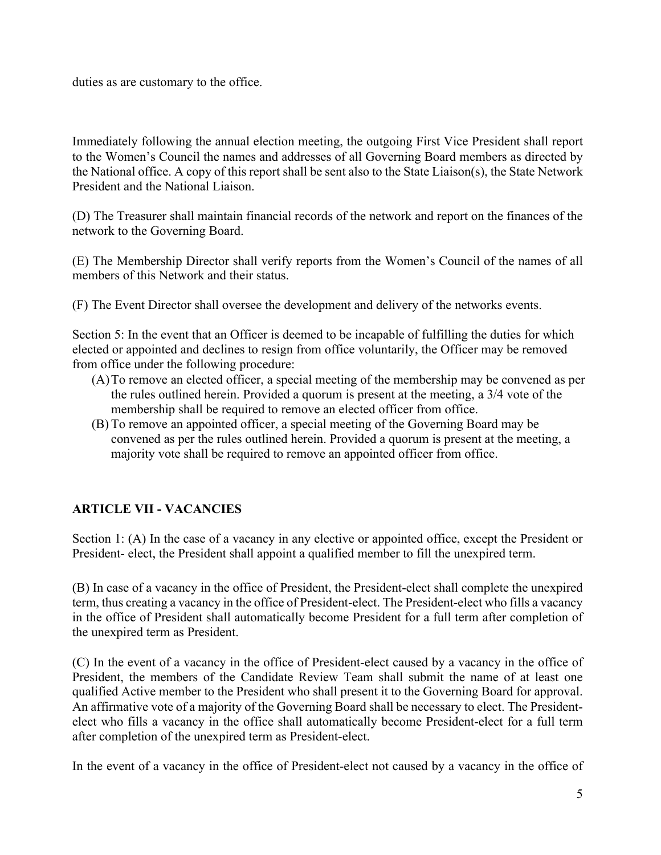duties as are customary to the office.

Immediately following the annual election meeting, the outgoing First Vice President shall report to the Women's Council the names and addresses of all Governing Board members as directed by the National office. A copy of this report shall be sent also to the State Liaison(s), the State Network President and the National Liaison.

(D) The Treasurer shall maintain financial records of the network and report on the finances of the network to the Governing Board.

(E) The Membership Director shall verify reports from the Women's Council of the names of all members of this Network and their status.

(F) The Event Director shall oversee the development and delivery of the networks events.

Section 5: In the event that an Officer is deemed to be incapable of fulfilling the duties for which elected or appointed and declines to resign from office voluntarily, the Officer may be removed from office under the following procedure:

- (A)To remove an elected officer, a special meeting of the membership may be convened as per the rules outlined herein. Provided a quorum is present at the meeting, a 3/4 vote of the membership shall be required to remove an elected officer from office.
- (B) To remove an appointed officer, a special meeting of the Governing Board may be convened as per the rules outlined herein. Provided a quorum is present at the meeting, a majority vote shall be required to remove an appointed officer from office.

## **ARTICLE VII - VACANCIES**

Section 1: (A) In the case of a vacancy in any elective or appointed office, except the President or President- elect, the President shall appoint a qualified member to fill the unexpired term.

(B) In case of a vacancy in the office of President, the President-elect shall complete the unexpired term, thus creating a vacancy in the office of President-elect. The President-elect who fills a vacancy in the office of President shall automatically become President for a full term after completion of the unexpired term as President.

(C) In the event of a vacancy in the office of President-elect caused by a vacancy in the office of President, the members of the Candidate Review Team shall submit the name of at least one qualified Active member to the President who shall present it to the Governing Board for approval. An affirmative vote of a majority of the Governing Board shall be necessary to elect. The Presidentelect who fills a vacancy in the office shall automatically become President-elect for a full term after completion of the unexpired term as President-elect.

In the event of a vacancy in the office of President-elect not caused by a vacancy in the office of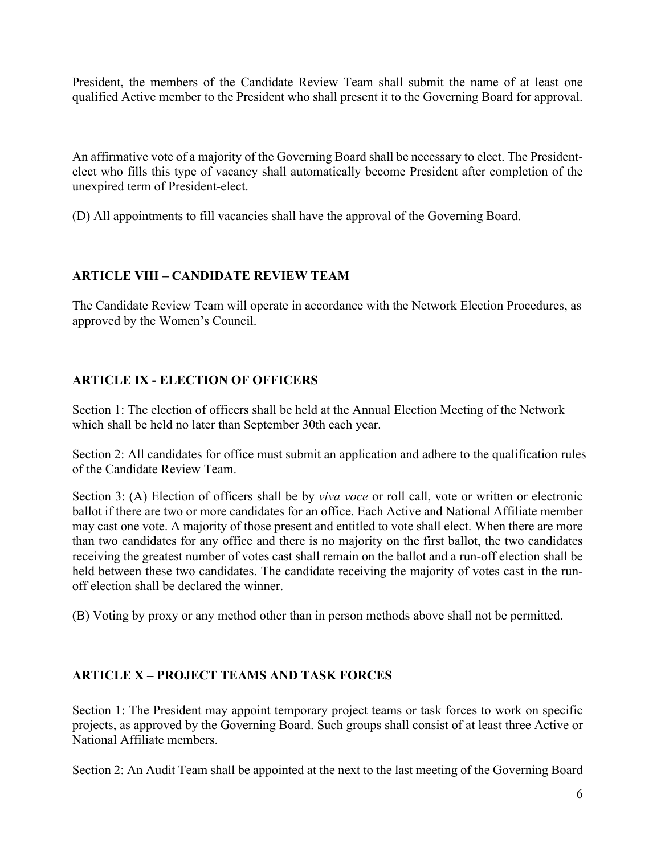President, the members of the Candidate Review Team shall submit the name of at least one qualified Active member to the President who shall present it to the Governing Board for approval.

An affirmative vote of a majority of the Governing Board shall be necessary to elect. The Presidentelect who fills this type of vacancy shall automatically become President after completion of the unexpired term of President-elect.

(D) All appointments to fill vacancies shall have the approval of the Governing Board.

## **ARTICLE VIII – CANDIDATE REVIEW TEAM**

The Candidate Review Team will operate in accordance with the Network Election Procedures, as approved by the Women's Council.

## **ARTICLE IX - ELECTION OF OFFICERS**

Section 1: The election of officers shall be held at the Annual Election Meeting of the Network which shall be held no later than September 30th each year.

Section 2: All candidates for office must submit an application and adhere to the qualification rules of the Candidate Review Team.

Section 3: (A) Election of officers shall be by *viva voce* or roll call, vote or written or electronic ballot if there are two or more candidates for an office. Each Active and National Affiliate member may cast one vote. A majority of those present and entitled to vote shall elect. When there are more than two candidates for any office and there is no majority on the first ballot, the two candidates receiving the greatest number of votes cast shall remain on the ballot and a run-off election shall be held between these two candidates. The candidate receiving the majority of votes cast in the runoff election shall be declared the winner.

(B) Voting by proxy or any method other than in person methods above shall not be permitted.

### **ARTICLE X – PROJECT TEAMS AND TASK FORCES**

Section 1: The President may appoint temporary project teams or task forces to work on specific projects, as approved by the Governing Board. Such groups shall consist of at least three Active or National Affiliate members.

Section 2: An Audit Team shall be appointed at the next to the last meeting of the Governing Board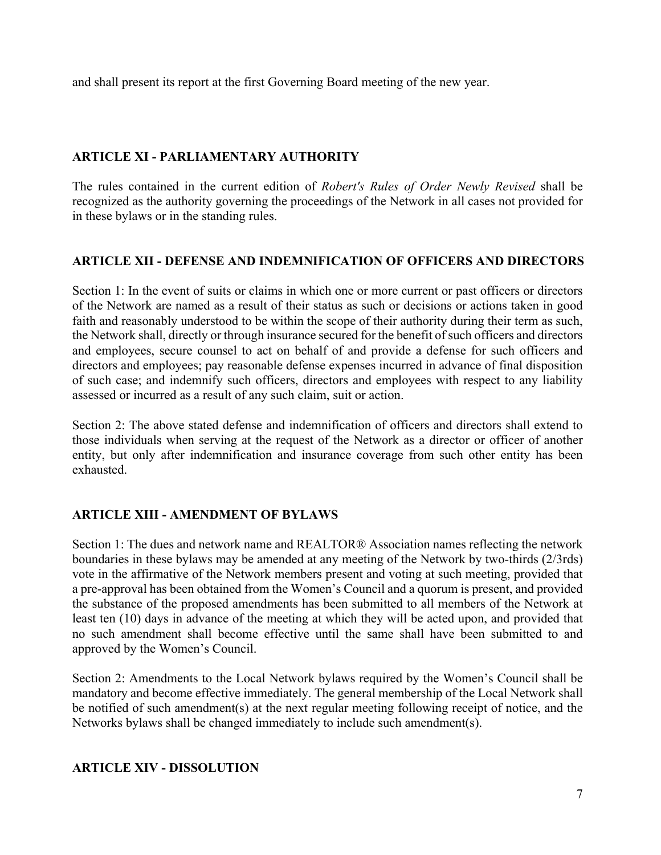and shall present its report at the first Governing Board meeting of the new year.

## **ARTICLE XI - PARLIAMENTARY AUTHORITY**

The rules contained in the current edition of *Robert's Rules of Order Newly Revised* shall be recognized as the authority governing the proceedings of the Network in all cases not provided for in these bylaws or in the standing rules.

## **ARTICLE XII - DEFENSE AND INDEMNIFICATION OF OFFICERS AND DIRECTORS**

Section 1: In the event of suits or claims in which one or more current or past officers or directors of the Network are named as a result of their status as such or decisions or actions taken in good faith and reasonably understood to be within the scope of their authority during their term as such, the Network shall, directly or through insurance secured for the benefit of such officers and directors and employees, secure counsel to act on behalf of and provide a defense for such officers and directors and employees; pay reasonable defense expenses incurred in advance of final disposition of such case; and indemnify such officers, directors and employees with respect to any liability assessed or incurred as a result of any such claim, suit or action.

Section 2: The above stated defense and indemnification of officers and directors shall extend to those individuals when serving at the request of the Network as a director or officer of another entity, but only after indemnification and insurance coverage from such other entity has been exhausted.

## **ARTICLE XIII - AMENDMENT OF BYLAWS**

Section 1: The dues and network name and REALTOR® Association names reflecting the network boundaries in these bylaws may be amended at any meeting of the Network by two-thirds (2/3rds) vote in the affirmative of the Network members present and voting at such meeting, provided that a pre-approval has been obtained from the Women's Council and a quorum is present, and provided the substance of the proposed amendments has been submitted to all members of the Network at least ten (10) days in advance of the meeting at which they will be acted upon, and provided that no such amendment shall become effective until the same shall have been submitted to and approved by the Women's Council.

Section 2: Amendments to the Local Network bylaws required by the Women's Council shall be mandatory and become effective immediately. The general membership of the Local Network shall be notified of such amendment(s) at the next regular meeting following receipt of notice, and the Networks bylaws shall be changed immediately to include such amendment(s).

### **ARTICLE XIV - DISSOLUTION**